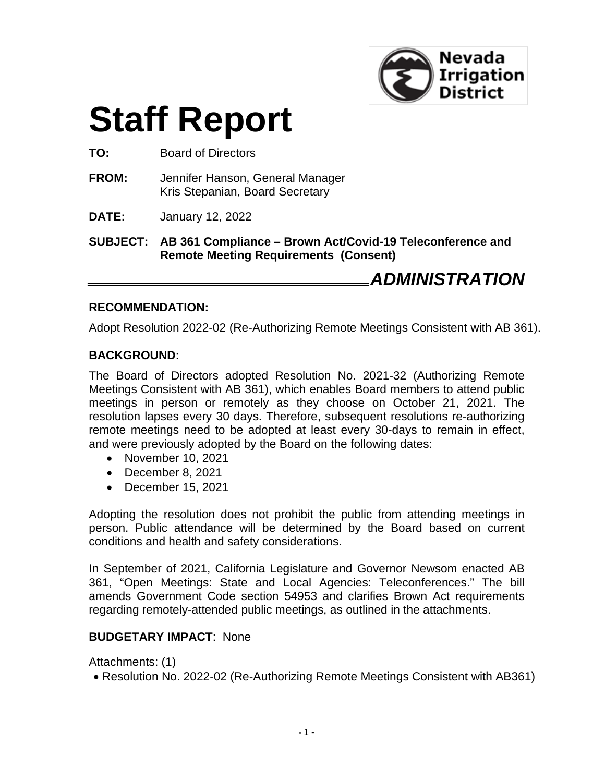

# **Staff Report**

**TO:** Board of Directors

**FROM:** Jennifer Hanson, General Manager Kris Stepanian, Board Secretary

**DATE:** January 12, 2022

**SUBJECT: AB 361 Compliance – Brown Act/Covid-19 Teleconference and Remote Meeting Requirements (Consent)**

*ADMINISTRATION*

#### **RECOMMENDATION:**

Adopt Resolution 2022-02 (Re-Authorizing Remote Meetings Consistent with AB 361).

#### **BACKGROUND**:

The Board of Directors adopted Resolution No. 2021-32 (Authorizing Remote Meetings Consistent with AB 361), which enables Board members to attend public meetings in person or remotely as they choose on October 21, 2021. The resolution lapses every 30 days. Therefore, subsequent resolutions re-authorizing remote meetings need to be adopted at least every 30-days to remain in effect, and were previously adopted by the Board on the following dates:

- November 10, 2021
- December 8, 2021
- December 15, 2021

Adopting the resolution does not prohibit the public from attending meetings in person. Public attendance will be determined by the Board based on current conditions and health and safety considerations.

In September of 2021, California Legislature and Governor Newsom enacted AB 361, "Open Meetings: State and Local Agencies: Teleconferences." The bill amends Government Code section 54953 and clarifies Brown Act requirements regarding remotely-attended public meetings, as outlined in the attachments.

#### **BUDGETARY IMPACT**: None

Attachments: (1)

• Resolution No. 2022-02 (Re-Authorizing Remote Meetings Consistent with AB361)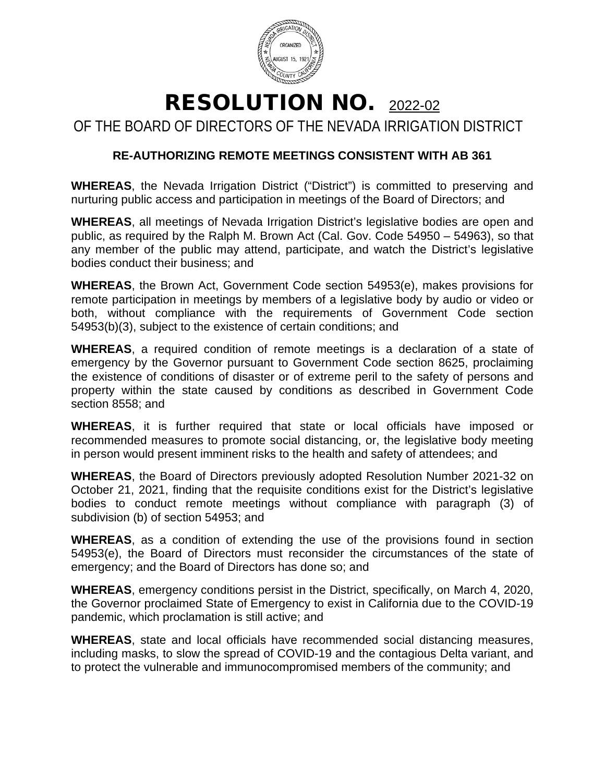

## RESOLUTION NO. 2022-02

OF THE BOARD OF DIRECTORS OF THE NEVADA IRRIGATION DISTRICT

### **RE-AUTHORIZING REMOTE MEETINGS CONSISTENT WITH AB 361**

**WHEREAS**, the Nevada Irrigation District ("District") is committed to preserving and nurturing public access and participation in meetings of the Board of Directors; and

**WHEREAS**, all meetings of Nevada Irrigation District's legislative bodies are open and public, as required by the Ralph M. Brown Act (Cal. Gov. Code 54950 – 54963), so that any member of the public may attend, participate, and watch the District's legislative bodies conduct their business; and

**WHEREAS**, the Brown Act, Government Code section 54953(e), makes provisions for remote participation in meetings by members of a legislative body by audio or video or both, without compliance with the requirements of Government Code section 54953(b)(3), subject to the existence of certain conditions; and

**WHEREAS**, a required condition of remote meetings is a declaration of a state of emergency by the Governor pursuant to Government Code section 8625, proclaiming the existence of conditions of disaster or of extreme peril to the safety of persons and property within the state caused by conditions as described in Government Code section 8558; and

**WHEREAS**, it is further required that state or local officials have imposed or recommended measures to promote social distancing, or, the legislative body meeting in person would present imminent risks to the health and safety of attendees; and

**WHEREAS**, the Board of Directors previously adopted Resolution Number 2021-32 on October 21, 2021, finding that the requisite conditions exist for the District's legislative bodies to conduct remote meetings without compliance with paragraph (3) of subdivision (b) of section 54953; and

**WHEREAS**, as a condition of extending the use of the provisions found in section 54953(e), the Board of Directors must reconsider the circumstances of the state of emergency; and the Board of Directors has done so; and

**WHEREAS**, emergency conditions persist in the District, specifically, on March 4, 2020, the Governor proclaimed State of Emergency to exist in California due to the COVID-19 pandemic, which proclamation is still active; and

**WHEREAS**, state and local officials have recommended social distancing measures, including masks, to slow the spread of COVID-19 and the contagious Delta variant, and to protect the vulnerable and immunocompromised members of the community; and